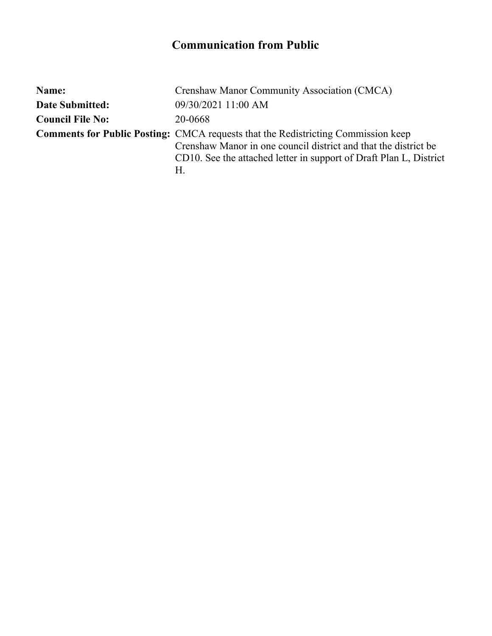## **Communication from Public**

| Name:                   | Crenshaw Manor Community Association (CMCA)                                                                                                                                                                                             |
|-------------------------|-----------------------------------------------------------------------------------------------------------------------------------------------------------------------------------------------------------------------------------------|
| <b>Date Submitted:</b>  | 09/30/2021 11:00 AM                                                                                                                                                                                                                     |
| <b>Council File No:</b> | 20-0668                                                                                                                                                                                                                                 |
|                         | <b>Comments for Public Posting:</b> CMCA requests that the Redistricting Commission keep<br>Crenshaw Manor in one council district and that the district be<br>CD10. See the attached letter in support of Draft Plan L, District<br>Н. |